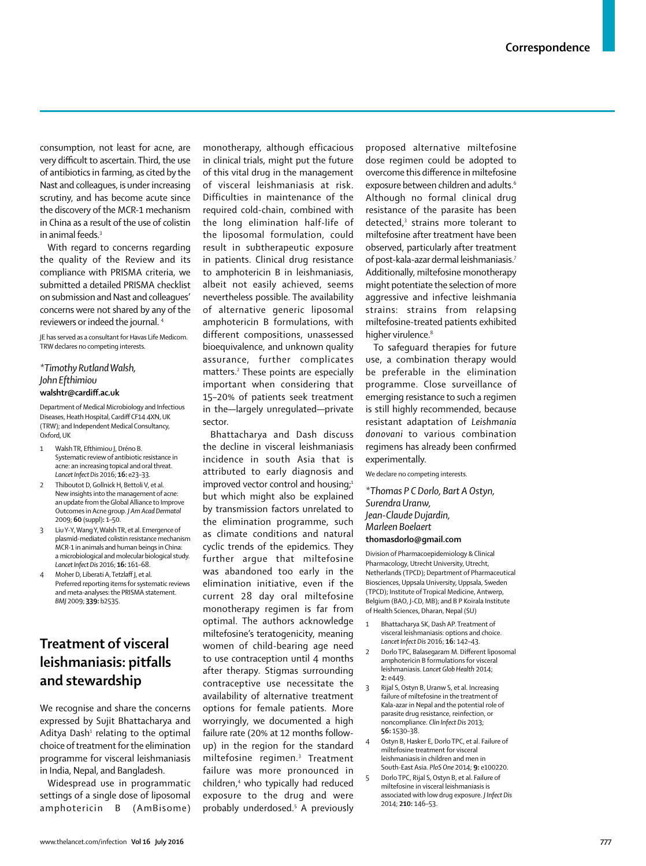consumption, not least for acne, are very difficult to ascertain. Third, the use of antibiotics in farming, as cited by the Nast and colleagues, is under increasing scrutiny, and has become acute since the discovery of the MCR-1 mechanism in China as a result of the use of colistin in animal feeds.<sup>3</sup>

With regard to concerns regarding the quality of the Review and its compliance with PRISMA criteria, we submitted a detailed PRISMA checklist on submission and Nast and colleagues' concerns were not shared by any of the reviewers or indeed the journal. 4

JE has served as a consultant for Havas Life Medicom. TRW declares no competing interests.

## *\*Timothy Rutland Walsh, John Efthimiou* **walshtr@cardiff .ac.uk**

Department of Medical Microbiology and Infectious Diseases, Heath Hospital, Cardiff CF14 4XN, UK (TRW); and Independent Medical Consultancy, Oxford, UK

- 1 Walsh TR, Efthimiou J, Dréno B. Systematic review of antibiotic resistance in acne: an increasing topical and oral threat. *Lancet Infect Dis* 2016; **16:** e23–33.
- 2 Thiboutot D, Gollnick H, Bettoli V, et al. New insights into the management of acne: an update from the Global Alliance to Improve Outcomes in Acne group. *J Am Acad Dermatol* 2009; **60** (suppl)**:** 1–50.
- 3 Liu Y-Y, Wang Y, Walsh TR, et al. Emergence of plasmid-mediated colistin resistance mechanism MCR-1 in animals and human beings in China: a microbiological and molecular biological study. *Lancet Infect Dis* 2016; **16:** 161–68.
- 4 Moher D, Liberati A, Tetzlaff J, et al. Preferred reporting items for systematic reviews and meta-analyses: the PRISMA statement. *BMJ* 2009; **339:** b2535.

## **Treatment of visceral leishmaniasis: pitfalls and stewardship**

 We recognise and share the concerns expressed by Sujit Bhattacharya and Aditya Dash<sup>1</sup> relating to the optimal choice of treatment for the elimination programme for visceral leishmaniasis in India, Nepal, and Bangladesh.

Widespread use in programmatic settings of a single dose of liposomal amphotericin B (AmBisome) monotherapy, although efficacious in clinical trials, might put the future of this vital drug in the management of visceral leishmaniasis at risk. Difficulties in maintenance of the required cold-chain, combined with the long elimination half-life of the liposomal formulation, could result in subtherapeutic exposure in patients. Clinical drug resistance to amphotericin B in leishmaniasis, albeit not easily achieved, seems nevertheless possible. The availability of alternative generic liposomal amphotericin B formulations, with different compositions, unassessed bioequivalence, and unknown quality assurance, further complicates matters.<sup>2</sup> These points are especially important when considering that 15–20% of patients seek treatment in the—largely unregulated—private sector.

Bhattacharya and Dash discuss the decline in visceral leishmaniasis incidence in south Asia that is attributed to early diagnosis and improved vector control and housing; $1$ but which might also be explained by transmission factors unrelated to the elimination programme, such as climate conditions and natural cyclic trends of the epidemics. They further argue that miltefosine was abandoned too early in the elimination initiative, even if the current 28 day oral miltefosine monotherapy regimen is far from optimal. The authors acknowledge miltefosine's teratogenicity, meaning women of child-bearing age need to use contraception until 4 months after therapy. Stigmas surrounding contraceptive use necessitate the availability of alternative treatment options for female patients. More worryingly, we documented a high failure rate (20% at 12 months followup) in the region for the standard miltefosine regimen.3 Treatment failure was more pronounced in children,4 who typically had reduced exposure to the drug and were probably underdosed.5 A previously

proposed alternative miltefosine dose regimen could be adopted to overcome this difference in miltefosine exposure between children and adults.<sup>6</sup> Although no formal clinical drug resistance of the parasite has been detected,3 strains more tolerant to miltefosine after treatment have been observed, particularly after treatment of post-kala-azar dermal leishmaniasis.7 Additionally, miltefosine monotherapy might potentiate the selection of more aggressive and infective leishmania strains: strains from relapsing miltefosine-treated patients exhibited higher virulence.<sup>8</sup>

To safeguard therapies for future use, a combination therapy would be preferable in the elimination programme. Close surveillance of emerging resistance to such a regimen is still highly recommended, because resistant adaptation of *Leishmania donovani* to various combination regimens has already been confirmed experimentally.

We declare no competing interests.

*\*Thomas P C Dorlo, Bart A Ostyn, Surendra Uranw, Jean-Claude Dujardin, Marleen Boelaert* **thomasdorlo@gmail.com**

Division of Pharmacoepidemiology & Clinical Pharmacology, Utrecht University, Utrecht, Netherlands (TPCD); Department of Pharmaceutical Biosciences, Uppsala University, Uppsala, Sweden (TPCD); Institute of Tropical Medicine, Antwerp, Belgium (BAO, J-CD, MB); and B P Koirala Institute of Health Sciences, Dharan, Nepal (SU)

- 1 Bhattacharya SK, Dash AP. Treatment of visceral leishmaniasis: options and choice. *Lancet Infect Dis* 2016; **16:** 142–43.
- 2 Dorlo TPC, Balasegaram M. Different liposomal amphotericin B formulations for visceral leishmaniasis. *Lancet Glob Health* 2014; **2:** e449.
- 3 Rijal S, Ostyn B, Uranw S, et al. Increasing failure of miltefosine in the treatment of Kala-azar in Nepal and the potential role of parasite drug resistance, reinfection, or noncompliance. *Clin Infect Dis* 2013; **56:** 1530–38.
- 4 Ostyn B, Hasker E, Dorlo TPC, et al. Failure of miltefosine treatment for visceral leishmaniasis in children and men in
- South-East Asia. *PloS One* 2014; **9:** e100220. 5 Dorlo TPC, Rijal S, Ostyn B, et al. Failure of miltefosine in visceral leishmaniasis is associated with low drug exposure. *J Infect Dis*

2014; **210:** 146–53.

www.thelancet.com/infection **Vol 16 July 2016** 777